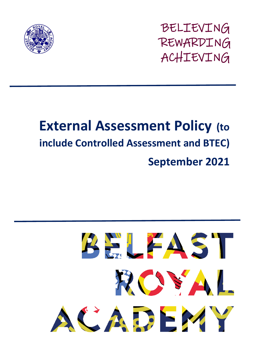

BELIEVING REWARDING ACHIEVING

# **External Assessment Policy (to include Controlled Assessment and BTEC) September 2021**

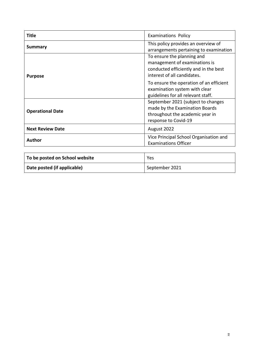| Title                   | <b>Examinations Policy</b>                                                                                                          |
|-------------------------|-------------------------------------------------------------------------------------------------------------------------------------|
| <b>Summary</b>          | This policy provides an overview of<br>arrangements pertaining to examination                                                       |
| <b>Purpose</b>          | To ensure the planning and<br>management of examinations is<br>conducted efficiently and in the best<br>interest of all candidates. |
|                         | To ensure the operation of an efficient<br>examination system with clear<br>guidelines for all relevant staff.                      |
| <b>Operational Date</b> | September 2021 (subject to changes<br>made by the Examination Boards<br>throughout the academic year in<br>response to Covid-19     |
| <b>Next Review Date</b> | August 2022                                                                                                                         |
| Author                  | Vice Principal School Organisation and<br><b>Examinations Officer</b>                                                               |

| To be posted on School website | Yes            |
|--------------------------------|----------------|
| Date posted (if applicable)    | September 2021 |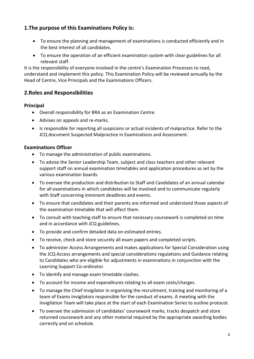# **1.The purpose of this Examinations Policy is:**

- To ensure the planning and management of examinations is conducted efficiently and in the best interest of all candidates.
- To ensure the operation of an efficient examination system with clear guidelines for all relevant staff.

It is the responsibility of everyone involved in the centre's Examination Processes to read, understand and implement this policy. This Examination Policy will be reviewed annually by the Head of Centre, Vice Principals and the Examinations Officers.

# **2.Roles and Responsibilities**

#### **Principal**

- Overall responsibility for BRA as an Examination Centre.
- Advises on appeals and re-marks.
- Is responsible for reporting all suspicions or actual incidents of malpractice. Refer to the JCQ document Suspected Malpractice in Examinations and Assessment.

#### **Examinations Officer**

- To manage the administration of public examinations.
- To advise the Senior Leadership Team, subject and class teachers and other relevant support staff on annual examination timetables and application procedures as set by the various examination boards.
- To oversee the production and distribution to Staff and Candidates of an annual calendar for all examinations in which candidates will be involved and to communicate regularly with Staff concerning imminent deadlines and events.
- To ensure that candidates and their parents are informed and understand those aspects of the examination timetable that will affect them.
- To consult with teaching staff to ensure that necessary coursework is completed on time and in accordance with JCQ guidelines.
- To provide and confirm detailed data on estimated entries.
- To receive, check and store securely all exam papers and completed scripts.
- To administer Access Arrangements and makes applications for Special Consideration using the JCQ Access arrangements and special considerations regulations and Guidance relating to Candidates who are eligible for adjustments in examinations in conjunction with the Learning Support Co-ordinator.
- To identify and manage exam timetable clashes.
- To account for income and expenditures relating to all exam costs/charges.
- To manage the Chief Invigilator in organising the recruitment, training and monitoring of a team of Exams Invigilators responsible for the conduct of exams. A meeting with the Invigilation Team will take place at the start of each Examination Series to outline protocol.
- To oversee the submission of candidates' coursework marks, tracks despatch and store returned coursework and any other material required by the appropriate awarding bodies correctly and on schedule.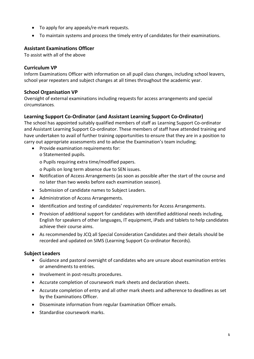- To apply for any appeals/re-mark requests.
- To maintain systems and process the timely entry of candidates for their examinations.

#### **Assistant Examinations Officer**

To assist with all of the above

#### **Curriculum VP**

Inform Examinations Officer with information on all pupil class changes, including school leavers, school year repeaters and subject changes at all times throughout the academic year.

#### **School Organisation VP**

Oversight of external examinations including requests for access arrangements and special circumstances.

#### **Learning Support Co-Ordinator (and Assistant Learning Support Co-Ordinator)**

The school has appointed suitably qualified members of staff as Learning Support Co-ordinator and Assistant Learning Support Co-ordinator. These members of staff have attended training and have undertaken to avail of further training opportunities to ensure that they are in a position to carry out appropriate assessments and to advise the Examination's team including;

- Provide examination requirements for:
	- o Statemented pupils.

o Pupils requiring extra time/modified papers.

o Pupils on long term absence due to SEN issues.

- Notification of Access Arrangements (as soon as possible after the start of the course and no later than two weeks before each examination season).
- Submission of candidate names to Subject Leaders.
- Administration of Access Arrangements.
- Identification and testing of candidates' requirements for Access Arrangements.
- Provision of additional support for candidates with identified additional needs including, English for speakers of other languages, IT equipment, iPads and tablets to help candidates achieve their course aims.
- As recommended by JCQ all Special Consideration Candidates and their details should be recorded and updated on SIMS (Learning Support Co-ordinator Records).

#### **Subject Leaders**

- Guidance and pastoral oversight of candidates who are unsure about examination entries or amendments to entries.
- Involvement in post-results procedures.
- Accurate completion of coursework mark sheets and declaration sheets.
- Accurate completion of entry and all other mark sheets and adherence to deadlines as set by the Examinations Officer.
- Disseminate information from regular Examination Officer emails.
- Standardise coursework marks.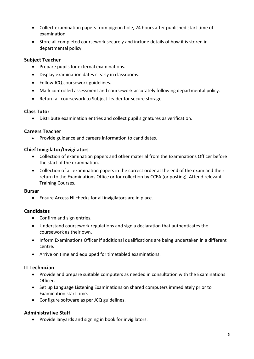- Collect examination papers from pigeon hole, 24 hours after published start time of examination.
- Store all completed coursework securely and include details of how it is stored in departmental policy.

#### **Subject Teacher**

- Prepare pupils for external examinations.
- Display examination dates clearly in classrooms.
- Follow JCQ coursework guidelines.
- Mark controlled assessment and coursework accurately following departmental policy.
- Return all coursework to Subject Leader for secure storage.

#### **Class Tutor**

Distribute examination entries and collect pupil signatures as verification.

#### **Careers Teacher**

Provide guidance and careers information to candidates.

#### **Chief Invigilator/Invigilators**

- Collection of examination papers and other material from the Examinations Officer before the start of the examination.
- Collection of all examination papers in the correct order at the end of the exam and their return to the Examinations Office or for collection by CCEA (or posting). Attend relevant Training Courses.

#### **Bursar**

Ensure Access NI checks for all invigilators are in place.

#### **Candidates**

- Confirm and sign entries.
- Understand coursework regulations and sign a declaration that authenticates the coursework as their own.
- Inform Examinations Officer if additional qualifications are being undertaken in a different centre.
- Arrive on time and equipped for timetabled examinations.

#### **IT Technician**

- Provide and prepare suitable computers as needed in consultation with the Examinations Officer.
- Set up Language Listening Examinations on shared computers immediately prior to Examination start time.
- Configure software as per JCQ guidelines.

#### **Administrative Staff**

• Provide lanyards and signing in book for invigilators.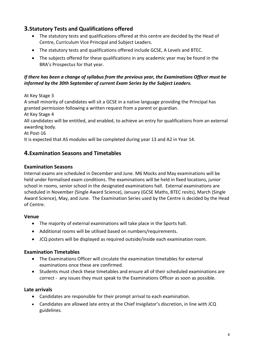# **3.Statutory Tests and Qualifications offered**

- The statutory tests and qualifications offered at this centre are decided by the Head of Centre, Curriculum Vice Principal and Subject Leaders.
- The statutory tests and qualifications offered include GCSE, A Levels and BTEC.
- The subjects offered for these qualifications in any academic year may be found in the BRA's Prospectus for that year.

#### *If there has been a change of syllabus from the previous year, the Examinations Officer must be informed by the 30th September of current Exam Series by the Subject Leaders.*

At Key Stage 3

A small minority of candidates will sit a GCSE in a native language providing the Principal has granted permission following a written request from a parent or guardian.

At Key Stage 4

All candidates will be entitled, and enabled, to achieve an entry for qualifications from an external awarding body.

At Post-16

It is expected that AS modules will be completed during year 13 and A2 in Year 14.

# **4.Examination Seasons and Timetables**

## **Examination Seasons**

Internal exams are scheduled in December and June. M6 Mocks and May examinations will be held under formalised exam conditions. The examinations will be held in fixed locations, junior school in rooms, senior school in the designated examinations hall. External examinations are scheduled in November (Single Award Science), January (GCSE Maths, BTEC resits), March (Single Award Science), May, and June. The Examination Series used by the Centre is decided by the Head of Centre.

#### **Venue**

- The majority of external examinations will take place in the Sports hall.
- Additional rooms will be utilised based on numbers/requirements.
- JCQ posters will be displayed as required outside/inside each examination room.

## **Examination Timetables**

- The Examinations Officer will circulate the examination timetables for external examinations once these are confirmed.
- Students must check these timetables and ensure all of their scheduled examinations are correct - any issues they must speak to the Examinations Officer as soon as possible.

## **Late arrivals**

- Candidates are responsible for their prompt arrival to each examination.
- Candidates are allowed late entry at the Chief Invigilator's discretion, in line with JCQ guidelines.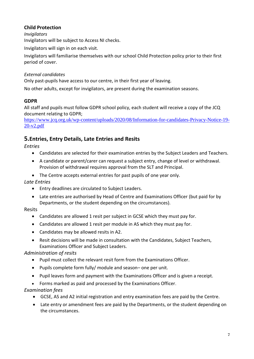# **Child Protection**

*Invigilators* 

Invigilators will be subject to Access NI checks.

Invigilators will sign in on each visit.

Invigilators will familiarise themselves with our school Child Protection policy prior to their first period of cover.

#### *External candidates*

Only past-pupils have access to our centre, in their first year of leaving.

No other adults, except for invigilators, are present during the examination seasons.

## **GDPR**

All staff and pupils must follow GDPR school policy, each student will receive a copy of the JCQ document relating to GDPR;

[https://www.jcq.org.uk/wp-content/uploads/2020/08/Information-for-candidates-Privacy-Notice-19-](https://www.jcq.org.uk/wp-content/uploads/2020/08/Information-for-candidates-Privacy-Notice-19-20-v2.pdf) [20-v2.pdf](https://www.jcq.org.uk/wp-content/uploads/2020/08/Information-for-candidates-Privacy-Notice-19-20-v2.pdf)

# **5.Entries, Entry Details, Late Entries and Resits**

*Entries* 

- Candidates are selected for their examination entries by the Subject Leaders and Teachers.
- A candidate or parent/carer can request a subject entry, change of level or withdrawal. Provision of withdrawal requires approval from the SLT and Principal.
- The Centre accepts external entries for past pupils of one year only.

## *Late Entries*

- Entry deadlines are circulated to Subject Leaders.
- Late entries are authorised by Head of Centre and Examinations Officer (but paid for by Departments, or the student depending on the circumstances).

#### Resits

- Candidates are allowed 1 resit per subject in GCSE which they must pay for.
- Candidates are allowed 1 resit per module in AS which they must pay for.
- Candidates may be allowed resits in A2.
- Resit decisions will be made in consultation with the Candidates, Subject Teachers, Examinations Officer and Subject Leaders.

## *Administration of resits*

- Pupil must collect the relevant resit form from the Examinations Officer.
- Pupils complete form fully/ module and season– one per unit.
- Pupil leaves form and payment with the Examinations Officer and is given a receipt.
- Forms marked as paid and processed by the Examinations Officer.

## *Examination fees*

- GCSE, AS and A2 initial registration and entry examination fees are paid by the Centre.
- Late entry or amendment fees are paid by the Departments, or the student depending on the circumstances.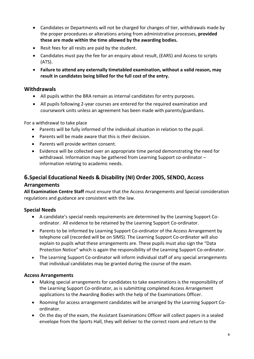- Candidates or Departments will not be charged for changes of tier, withdrawals made by the proper procedures or alterations arising from administrative processes, **provided these are made within the time allowed by the awarding bodies.**
- Resit fees for all resits are paid by the student.
- Candidates must pay the fee for an enquiry about result, (EARS) and Access to scripts (ATS).
- **Failure to attend any externally timetabled examination, without a valid reason, may result in candidates being billed for the full cost of the entry.**

## **Withdrawals**

- All pupils within the BRA remain as internal candidates for entry purposes.
- All pupils following 2-year courses are entered for the required examination and coursework units unless an agreement has been made with parents/guardians.

For a withdrawal to take place

- Parents will be fully informed of the individual situation in relation to the pupil.
- Parents will be made aware that this is *their* decision.
- Parents will provide written consent.
- Evidence will be collected over an appropriate time period demonstrating the need for withdrawal. Information may be gathered from Learning Support co-ordinator – information relating to academic needs.

# **6.Special Educational Needs & Disability (NI) Order 2005, SENDO, Access**

#### **Arrangements**

**All Examination Centre Staff** must ensure that the Access Arrangements and Special consideration regulations and guidance are consistent with the law.

#### **Special Needs**

- A candidate's special needs requirements are determined by the Learning Support Coordinator. All evidence to be retained by the Learning Support Co-ordinator.
- Parents to be informed by Learning Support Co-ordinator of the Access Arrangement by telephone call (recorded will be on SIMS). The Learning Support Co-ordinator will also explain to pupils what these arrangements are. These pupils must also sign the "Data Protection Notice" which is again the responsibility of the Learning Support Co-ordinator.
- The Learning Support Co-ordinator will inform individual staff of any special arrangements that individual candidates may be granted during the course of the exam.

#### **Access Arrangements**

- Making special arrangements for candidates to take examinations is the responsibility of the Learning Support Co-ordinator, as is submitting completed Access Arrangement applications to the Awarding Bodies with the help of the Examinations Officer.
- Rooming for access arrangement candidates will be arranged by the Learning Support Coordinator.
- On the day of the exam, the Assistant Examinations Officer will collect papers in a sealed envelope from the Sports Hall, they will deliver to the correct room and return to the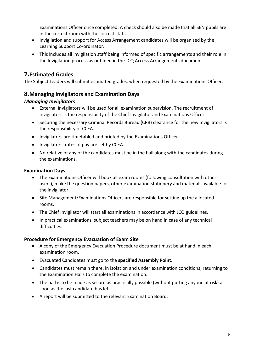Examinations Officer once completed. A check should also be made that all SEN pupils are in the correct room with the correct staff.

- Invigilation and support for Access Arrangement candidates will be organised by the Learning Support Co-ordinator.
- This includes all invigilation staff being informed of specific arrangements and their role in the Invigilation process as outlined in the JCQ Access Arrangements document.

# **7.Estimated Grades**

The Subject Leaders will submit estimated grades, when requested by the Examinations Officer.

## **8.Managing Invigilators and Examination Days**

#### *Managing Invigilators*

- External Invigilators will be used for all examination supervision. The recruitment of invigilators is the responsibility of the Chief Invigilator and Examinations Officer.
- Securing the necessary Criminal Records Bureau (CRB) clearance for the new invigilators is the responsibility of CCEA.
- Invigilators are timetabled and briefed by the Examinations Officer.
- Invigilators' rates of pay are set by CCEA.
- No relative of any of the candidates must be in the hall along with the candidates during the examinations.

#### **Examination Days**

- The Examinations Officer will book all exam rooms (following consultation with other users), make the question papers, other examination stationery and materials available for the invigilator.
- Site Management/Examinations Officers are responsible for setting up the allocated rooms.
- The Chief Invigilator will start all examinations in accordance with JCQ guidelines.
- In practical examinations, subject teachers may be on hand in case of any technical difficulties.

#### **Procedure for Emergency Evacuation of Exam Site**

- A copy of the Emergency Evacuation Procedure document must be at hand in each examination room.
- Evacuated Candidates must go to the **specified Assembly Point**.
- Candidates must remain there, in isolation and under examination conditions, returning to the Examination Halls to complete the examination.
- The hall is to be made as secure as practically possible (without putting anyone at risk) as soon as the last candidate has left.
- A report will be submitted to the relevant Examination Board.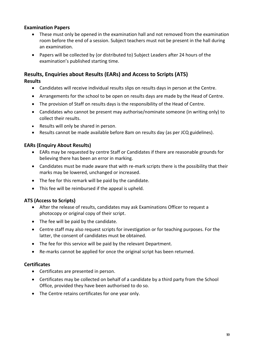#### **Examination Papers**

- These must only be opened in the examination hall and not removed from the examination room before the end of a session. Subject teachers must not be present in the hall during an examination.
- Papers will be collected by (or distributed to) Subject Leaders after 24 hours of the examination's published starting time.

# **Results, Enquiries about Results (EARs) and Access to Scripts (ATS)**

**Results** 

- Candidates will receive individual results slips on results days in person at the Centre.
- Arrangements for the school to be open on results days are made by the Head of Centre.
- The provision of Staff on results days is the responsibility of the Head of Centre.
- Candidates who cannot be present may authorise/nominate someone (in writing only) to collect their results.
- Results will only be shared in person.
- Results cannot be made available before 8am on results day (as per JCQ guidelines).

#### **EARs (Enquiry About Results)**

- EARs may be requested by centre Staff or Candidates if there are reasonable grounds for believing there has been an error in marking.
- Candidates must be made aware that with re-mark scripts there is the possibility that their marks may be lowered, unchanged or increased.
- The fee for this remark will be paid by the candidate.
- This fee will be reimbursed if the appeal is upheld.

#### **ATS (Access to Scripts)**

- After the release of results, candidates may ask Examinations Officer to request a photocopy or original copy of their script.
- The fee will be paid by the candidate.
- Centre staff may also request scripts for investigation or for teaching purposes. For the latter, the consent of candidates must be obtained.
- The fee for this service will be paid by the relevant Department.
- Re-marks cannot be applied for once the original script has been returned.

#### **Certificates**

- Certificates are presented in person.
- Certificates may be collected on behalf of a candidate by a third party from the School Office, provided they have been authorised to do so.
- The Centre retains certificates for one year only.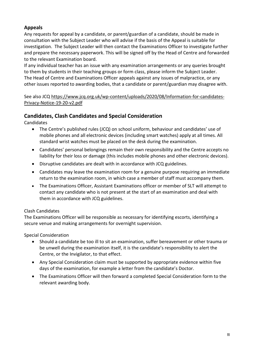## **Appeals**

Any requests for appeal by a candidate, or parent/guardian of a candidate, should be made in consultation with the Subject Leader who will advise if the basis of the Appeal is suitable for investigation. The Subject Leader will then contact the Examinations Officer to investigate further and prepare the necessary paperwork. This will be signed off by the Head of Centre and forwarded to the relevant Examination board.

If any individual teacher has an issue with any examination arrangements or any queries brought to them by students in their teaching groups or form class, please inform the Subject Leader. The Head of Centre and Examinations Officer appeals against any issues of malpractice, or any other issues reported to awarding bodies, that a candidate or parent/guardian may disagree with.

See also JCQ [https://www.jcq.org.uk/wp-content/uploads/2020/08/Information-for-candidates-](https://www.jcq.org.uk/wp-content/uploads/2020/08/Information-for-candidates-Privacy-Notice-19-20-v2.pdf)[Privacy-Notice-19-20-v2.pdf](https://www.jcq.org.uk/wp-content/uploads/2020/08/Information-for-candidates-Privacy-Notice-19-20-v2.pdf)

# **Candidates, Clash Candidates and Special Consideration**

Candidates

- The Centre's published rules (JCQ) on school uniform, behaviour and candidates' use of mobile phones and all electronic devices (including smart watches) apply at all times. All standard wrist watches must be placed on the desk during the examination.
- Candidates' personal belongings remain their own responsibility and the Centre accepts no liability for their loss or damage (this includes mobile phones and other electronic devices).
- Disruptive candidates are dealt with in accordance with JCQ guidelines.
- Candidates may leave the examination room for a genuine purpose requiring an immediate return to the examination room, in which case a member of staff must accompany them.
- The Examinations Officer, Assistant Examinations officer or member of SLT will attempt to contact any candidate who is not present at the start of an examination and deal with them in accordance with JCQ guidelines.

#### Clash Candidates

The Examinations Officer will be responsible as necessary for identifying escorts, identifying a secure venue and making arrangements for overnight supervision.

Special Consideration

- Should a candidate be too ill to sit an examination, suffer bereavement or other trauma or be unwell during the examination itself, it is the candidate's responsibility to alert the Centre, or the Invigilator, to that effect.
- Any Special Consideration claim must be supported by appropriate evidence within five days of the examination, for example a letter from the candidate's Doctor.
- The Examinations Officer will then forward a completed Special Consideration form to the relevant awarding body.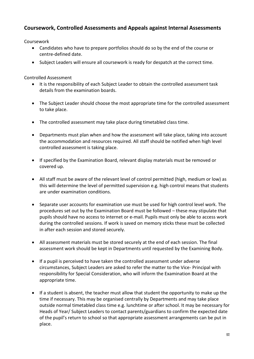# **Coursework, Controlled Assessments and Appeals against Internal Assessments**

Coursework

- Candidates who have to prepare portfolios should do so by the end of the course or centre-defined date.
- Subject Leaders will ensure all coursework is ready for despatch at the correct time.

Controlled Assessment

- It is the responsibility of each Subject Leader to obtain the controlled assessment task details from the examination boards.
- The Subject Leader should choose the most appropriate time for the controlled assessment to take place.
- The controlled assessment may take place during timetabled class time.
- Departments must plan when and how the assessment will take place, taking into account the accommodation and resources required. All staff should be notified when high level controlled assessment is taking place.
- If specified by the Examination Board, relevant display materials must be removed or covered up.
- All staff must be aware of the relevant level of control permitted (high, medium or low) as this will determine the level of permitted supervision e.g. high control means that students are under examination conditions.
- Separate user accounts for examination use must be used for high control level work. The procedures set out by the Examination Board must be followed – these may stipulate that pupils should have no access to internet or e-mail. Pupils must only be able to access work during the controlled sessions. If work is saved on memory sticks these must be collected in after each session and stored securely.
- All assessment materials must be stored securely at the end of each session. The final assessment work should be kept in Departments until requested by the Examining Body.
- If a pupil is perceived to have taken the controlled assessment under adverse circumstances, Subject Leaders are asked to refer the matter to the Vice- Principal with responsibility for Special Consideration, who will inform the Examination Board at the appropriate time.
- If a student is absent, the teacher must allow that student the opportunity to make up the time if necessary. This may be organised centrally by Departments and may take place outside normal timetabled class time e.g. lunchtime or after school. It may be necessary for Heads of Year/ Subject Leaders to contact parents/guardians to confirm the expected date of the pupil's return to school so that appropriate assessment arrangements can be put in place.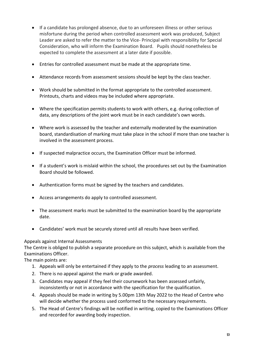- If a candidate has prolonged absence, due to an unforeseen illness or other serious misfortune during the period when controlled assessment work was produced, Subject Leader are asked to refer the matter to the Vice- Principal with responsibility for Special Consideration, who will inform the Examination Board. Pupils should nonetheless be expected to complete the assessment at a later date if possible.
- Entries for controlled assessment must be made at the appropriate time.
- Attendance records from assessment sessions should be kept by the class teacher.
- Work should be submitted in the format appropriate to the controlled assessment. Printouts, charts and videos may be included where appropriate.
- Where the specification permits students to work with others, e.g. during collection of data, any descriptions of the joint work must be in each candidate's own words.
- Where work is assessed by the teacher and externally moderated by the examination board, standardisation of marking must take place in the school if more than one teacher is involved in the assessment process.
- If suspected malpractice occurs, the Examination Officer must be informed.
- If a student's work is mislaid within the school, the procedures set out by the Examination Board should be followed.
- Authentication forms must be signed by the teachers and candidates.
- Access arrangements do apply to controlled assessment.
- The assessment marks must be submitted to the examination board by the appropriate date.
- Candidates' work must be securely stored until all results have been verified.

#### Appeals against Internal Assessments

The Centre is obliged to publish a separate procedure on this subject, which is available from the Examinations Officer.

The main points are:

- 1. Appeals will only be entertained if they apply to the *process* leading to an assessment.
- 2. There is no appeal against the mark or grade awarded.
- 3. Candidates may appeal if they feel their coursework has been assessed unfairly, inconsistently or not in accordance with the specification for the qualification.
- 4. Appeals should be made in writing by 5.00pm 13th May 2022 to the Head of Centre who will decide whether the process used conformed to the necessary requirements.
- 5. The Head of Centre's findings will be notified in writing, copied to the Examinations Officer and recorded for awarding body inspection.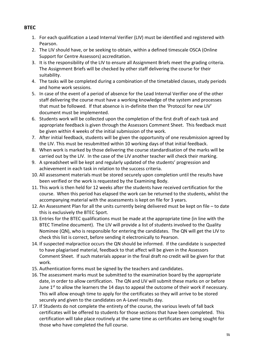- 1. For each qualification a Lead Internal Verifier (LIV) must be identified and registered with Pearson.
- 2. The LIV should have, or be seeking to obtain, within a defined timescale OSCA (Online Support for Centre Assessors) accreditation.
- 3. It is the responsibility of the LIV to ensure all Assignment Briefs meet the grading criteria. The Assignment Briefs will be checked by other staff delivering the course for their suitability.
- 4. The tasks will be completed during a combination of the timetabled classes, study periods and home work sessions.
- 5. In case of the event of a period of absence for the Lead Internal Verifier one of the other staff delivering the course must have a working knowledge of the system and processes that must be followed. If that absence is in-definite then the 'Protocol for new LIV' document must be implemented.
- 6. Students work will be collected upon the completion of the first draft of each task and appropriate feedback is given through the Assessors Comment Sheet. This feedback must be given within 4 weeks of the initial submission of the work.
- 7. After initial feedback, students will be given the opportunity of one resubmission agreed by the LIV. This must be resubmitted within 10 working days of that initial feedback.
- 8. When work is marked by those delivering the course standardisation of the marks will be carried out by the LIV. In the case of the LIV another teacher will check their marking.
- 9. A spreadsheet will be kept and regularly updated of the students' progression and achievement in each task in relation to the success criteria.
- 10. All assessment materials must be stored securely upon completion until the results have been verified or the work is requested by the Examining Body.
- 11. This work is then held for 12 weeks after the students have received certification for the course. When this period has elapsed the work can be returned to the students, whilst the accompanying material with the assessments is kept on file for 3 years.
- 12. An Assessment Plan for all the units currently being delivered must be kept on file to date this is exclusively the BTEC Sport.
- 13. Entries for the BTEC qualifications must be made at the appropriate time (in line with the BTEC Timeline document). The LIV will provide a list of students involved to the Quality Nominee (QN), who is responsible for entering the candidates. The QN will get the LIV to check this list is correct, before sending it electronically to Pearson.
- 14. If suspected malpractice occurs the QN should be informed. If the candidate is suspected to have plagiarised material, feedback to that affect will be given in the Assessors Comment Sheet. If such materials appear in the final draft no credit will be given for that work.
- 15. Authentication forms must be signed by the teachers and candidates.
- 16. The assessment marks must be submitted to the examination board by the appropriate date, in order to allow certification. The QN and LIV will submit these marks on or before June 1<sup>st</sup> to allow the learners the 14 days to appeal the outcome of their work if necessary. This will allow enough time to apply for the certificates so they will arrive to be stored securely and given to the candidates on A-Level results day.
- 17. If Students do not complete the entirety of the course, the various levels of fall back certificates will be offered to students for those sections that have been completed. This certification will take place routinely at the same time as certificates are being sought for those who have completed the full course.

#### **BTEC**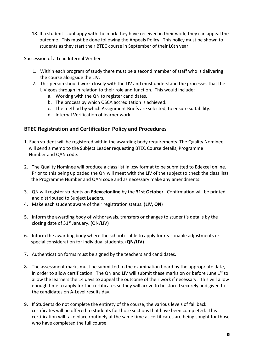18. If a student is unhappy with the mark they have received in their work, they can appeal the outcome. This must be done following the Appeals Policy. This policy must be shown to students as they start their BTEC course in September of their L6th year.

Succession of a Lead Internal Verifier

- 1. Within each program of study there must be a second member of staff who is delivering the course alongside the LIV.
- 2. This person should work closely with the LIV and must understand the processes that the LIV goes through in relation to their role and function. This would include:
	- a. Working with the QN to register candidates.
	- b. The process by which OSCA accreditation is achieved.
	- c. The method by which Assignment Briefs are selected, to ensure suitability.
	- d. Internal Verification of learner work.

## **BTEC Registration and Certification Policy and Procedures**

- 1. Each student will be registered within the awarding body requirements. The Quality Nominee will send a memo to the Subject Leader requesting BTEC Course details, Programme Number and QAN code.
- 2. The Quality Nominee will produce a class list in .csv format to be submitted to Edexcel online. Prior to this being uploaded the QN will meet with the LIV of the subject to check the class lists the Programme Number and QAN code and as necessary make any amendments.
- 3. QN will register students on **Edexcelonline** by the **31st October**. Confirmation will be printed and distributed to Subject Leaders.
- 4. Make each student aware of their registration status. (**LIV, QN**)
- 5. Inform the awarding body of withdrawals, transfers or changes to student's details by the closing date of 31st January. (QN/LIV**)**
- 6. Inform the awarding body where the school is able to apply for reasonable adjustments or special consideration for individual students. (**QN/LIV)**
- 7. Authentication forms must be signed by the teachers and candidates.
- 8. The assessment marks must be submitted to the examination board by the appropriate date, in order to allow certification. The QN and LIV will submit these marks on or before June  $1<sup>st</sup>$  to allow the learners the 14 days to appeal the outcome of their work if necessary. This will allow enough time to apply for the certificates so they will arrive to be stored securely and given to the candidates on A-Level results day.
- 9. If Students do not complete the entirety of the course, the various levels of fall back certificates will be offered to students for those sections that have been completed. This certification will take place routinely at the same time as certificates are being sought for those who have completed the full course.